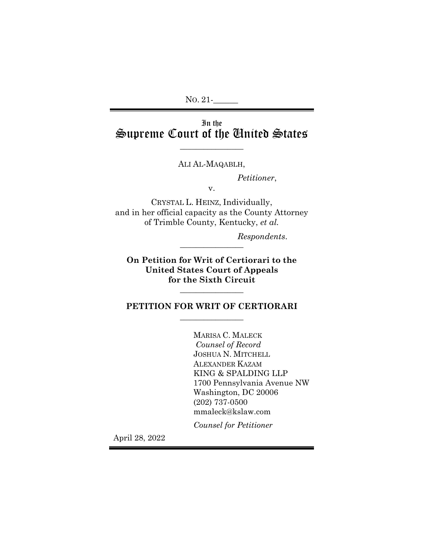# In the Supreme Court of the United States

\_\_\_\_\_\_\_\_\_\_\_\_\_\_\_\_

ALI AL-MAQABLH,

*Petitioner*,

v.

CRYSTAL L. HEINZ, Individually, and in her official capacity as the County Attorney of Trimble County, Kentucky, *et al.*

*Respondents*. \_\_\_\_\_\_\_\_\_\_\_\_\_\_\_\_

**On Petition for Writ of Certiorari to the United States Court of Appeals for the Sixth Circuit**

## **PETITION FOR WRIT OF CERTIORARI**  $\overline{\phantom{a}}$  , where  $\overline{\phantom{a}}$

\_\_\_\_\_\_\_\_\_\_\_\_\_\_\_\_

MARISA C. MALECK *Counsel of Record* JOSHUA N. MITCHELL ALEXANDER KAZAM KING & SPALDING LLP 1700 Pennsylvania Avenue NW Washington, DC 20006 (202) 737-0500 mmaleck@kslaw.com

*Counsel for Petitioner*

April 28, 2022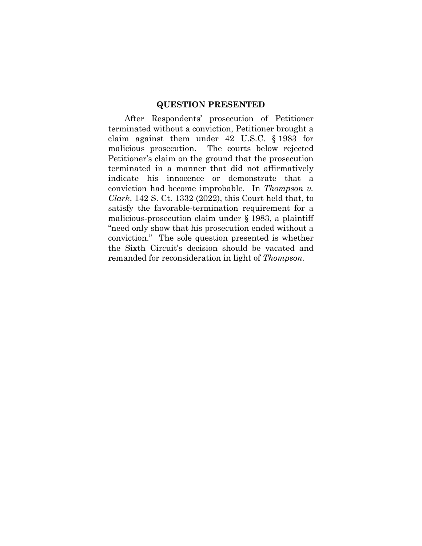## **QUESTION PRESENTED**

After Respondents' prosecution of Petitioner terminated without a conviction, Petitioner brought a claim against them under 42 U.S.C. § 1983 for malicious prosecution. The courts below rejected Petitioner's claim on the ground that the prosecution terminated in a manner that did not affirmatively indicate his innocence or demonstrate that a conviction had become improbable. In *Thompson v. Clark*, 142 S. Ct. 1332 (2022), this Court held that, to satisfy the favorable-termination requirement for a malicious-prosecution claim under § 1983, a plaintiff "need only show that his prosecution ended without a conviction." The sole question presented is whether the Sixth Circuit's decision should be vacated and remanded for reconsideration in light of *Thompson.*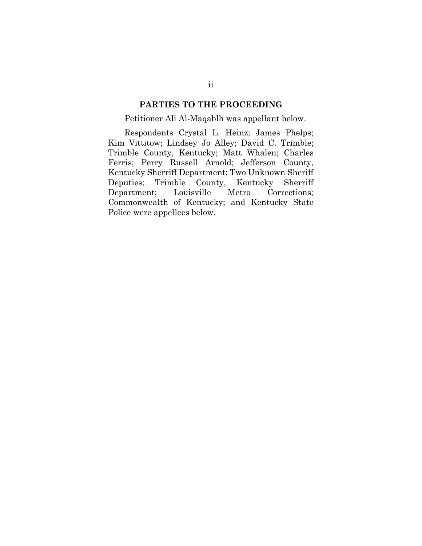## **PARTIES TO THE PROCEEDING**

## Petitioner Ali Al-Maqablh was appellant below.

Respondents Crystal L. Heinz; James Phelps; Kim Vittitow; Lindsey Jo Alley; David C. Trimble; Trimble County, Kentucky; Matt Whalen; Charles Ferris; Perry Russell Arnold; Jefferson County, Kentucky Sherriff Department; Two Unknown Sheriff Deputies; Trimble County, Kentucky Sherriff Department; Louisville Metro Corrections; Commonwealth of Kentucky; and Kentucky State Police were appellees below.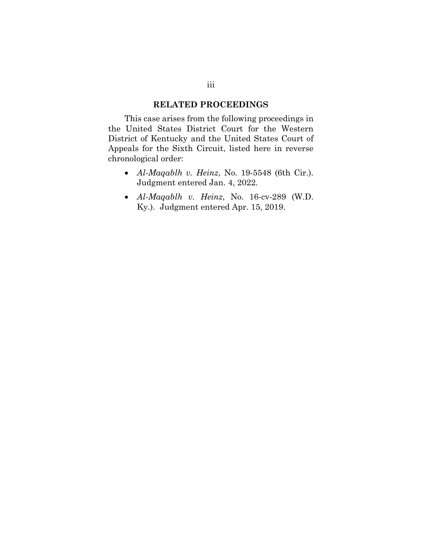## **RELATED PROCEEDINGS**

This case arises from the following proceedings in the United States District Court for the Western District of Kentucky and the United States Court of Appeals for the Sixth Circuit, listed here in reverse chronological order:

- *Al-Maqablh v. Heinz*, No. 19-5548 (6th Cir.). Judgment entered Jan. 4, 2022.
- *Al-Maqablh v. Heinz*, No. 16-cv-289 (W.D. Ky.). Judgment entered Apr. 15, 2019.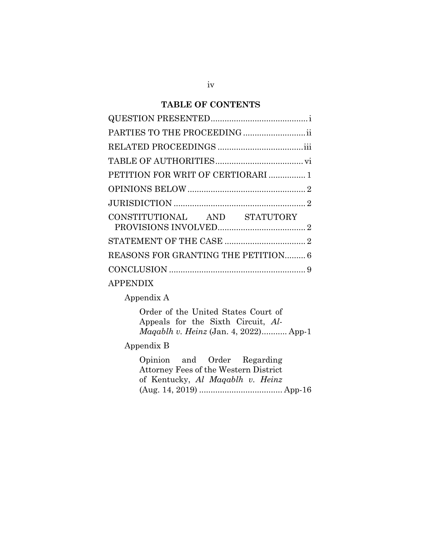## **TABLE OF CONTENTS**

| PARTIES TO THE PROCEEDING           |
|-------------------------------------|
|                                     |
|                                     |
| PETITION FOR WRIT OF CERTIORARI  1  |
|                                     |
|                                     |
| CONSTITUTIONAL AND STATUTORY        |
|                                     |
| REASONS FOR GRANTING THE PETITION 6 |
|                                     |
| <b>APPENDIX</b>                     |

Appendix A

Order of the United States Court of Appeals for the Sixth Circuit, *Al-Maqablh v. Heinz* (Jan. 4, 2022)........... App-1

## Appendix B

Opinion and Order Regarding Attorney Fees of the Western District of Kentucky, *Al Maqablh v. Heinz* (Aug. 14, 2019) .................................... App-16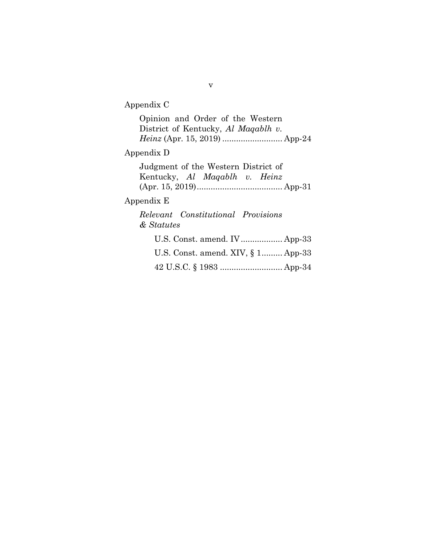## Appendix C

Opinion and Order of the Western District of Kentucky, *Al Maqablh v. Heinz* (Apr. 15, 2019) .......................... App-24

# Appendix D

Judgment of the Western District of Kentucky, *Al Maqablh v. Heinz* (Apr. 15, 2019)..................................... App-31

## Appendix E

*Relevant Constitutional Provisions & Statutes*

| U.S. Const. amend. XIV, $\S$ 1 App-33 |  |
|---------------------------------------|--|
|                                       |  |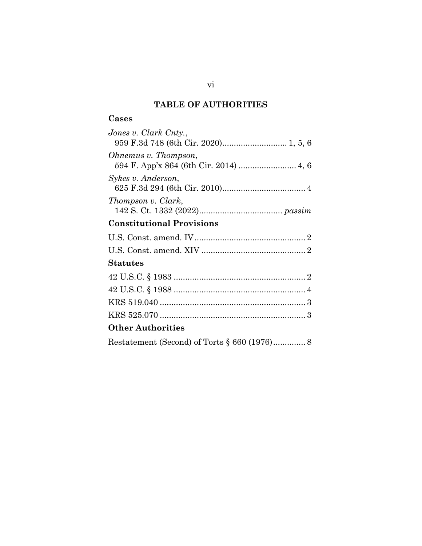# **TABLE OF AUTHORITIES**

## **Cases**

| Jones v. Clark Cnty.,                |
|--------------------------------------|
| 959 F.3d 748 (6th Cir. 2020) 1, 5, 6 |
| Ohnemus v. Thompson,                 |
|                                      |
| Sykes v. Anderson,                   |
|                                      |
| Thompson v. Clark,                   |
|                                      |
| <b>Constitutional Provisions</b>     |
|                                      |
|                                      |
| <b>Statutes</b>                      |
|                                      |
|                                      |
|                                      |
|                                      |
| <b>Other Authorities</b>             |
|                                      |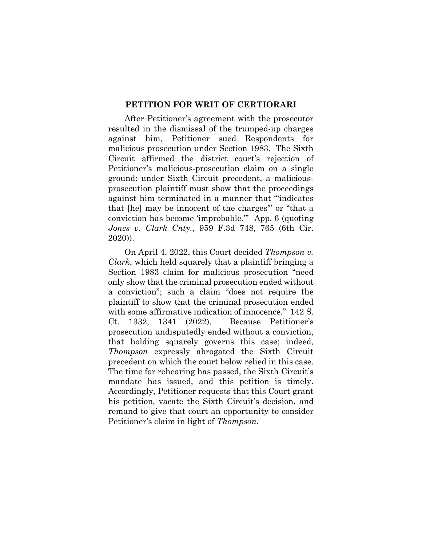## **PETITION FOR WRIT OF CERTIORARI**

After Petitioner's agreement with the prosecutor resulted in the dismissal of the trumped-up charges against him, Petitioner sued Respondents for malicious prosecution under Section 1983. The Sixth Circuit affirmed the district court's rejection of Petitioner's malicious-prosecution claim on a single ground: under Sixth Circuit precedent, a maliciousprosecution plaintiff must show that the proceedings against him terminated in a manner that "'indicates that [he] may be innocent of the charges'" or "that a conviction has become 'improbable.'" App. 6 (quoting *Jones v. Clark Cnty.*, 959 F.3d 748, 765 (6th Cir. 2020)).

On April 4, 2022, this Court decided *Thompson v. Clark*, which held squarely that a plaintiff bringing a Section 1983 claim for malicious prosecution "need only show that the criminal prosecution ended without a conviction"; such a claim "does not require the plaintiff to show that the criminal prosecution ended with some affirmative indication of innocence." 142 S. Ct. 1332, 1341 (2022). Because Petitioner's prosecution undisputedly ended without a conviction, that holding squarely governs this case; indeed, *Thompson* expressly abrogated the Sixth Circuit precedent on which the court below relied in this case. The time for rehearing has passed, the Sixth Circuit's mandate has issued, and this petition is timely. Accordingly, Petitioner requests that this Court grant his petition, vacate the Sixth Circuit's decision, and remand to give that court an opportunity to consider Petitioner's claim in light of *Thompson*.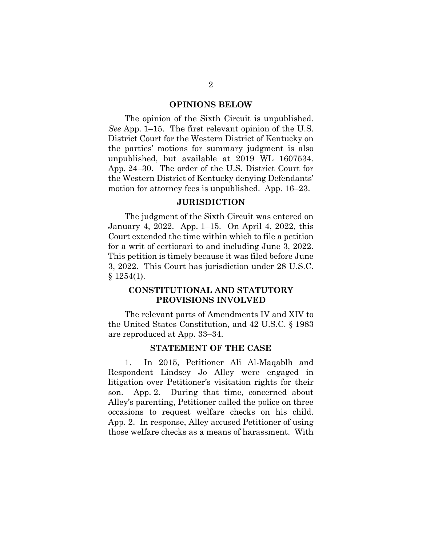#### **OPINIONS BELOW**

The opinion of the Sixth Circuit is unpublished. *See* App. 1–15. The first relevant opinion of the U.S. District Court for the Western District of Kentucky on the parties' motions for summary judgment is also unpublished, but available at 2019 WL 1607534. App. 24–30. The order of the U.S. District Court for the Western District of Kentucky denying Defendants' motion for attorney fees is unpublished. App. 16–23.

#### **JURISDICTION**

The judgment of the Sixth Circuit was entered on January 4, 2022. App. 1–15. On April 4, 2022, this Court extended the time within which to file a petition for a writ of certiorari to and including June 3, 2022. This petition is timely because it was filed before June 3, 2022. This Court has jurisdiction under 28 U.S.C.  $§ 1254(1).$ 

## **CONSTITUTIONAL AND STATUTORY PROVISIONS INVOLVED**

The relevant parts of Amendments IV and XIV to the United States Constitution, and 42 U.S.C. § 1983 are reproduced at App. 33–34.

#### **STATEMENT OF THE CASE**

1. In 2015, Petitioner Ali Al-Maqablh and Respondent Lindsey Jo Alley were engaged in litigation over Petitioner's visitation rights for their son. App. 2. During that time, concerned about Alley's parenting, Petitioner called the police on three occasions to request welfare checks on his child. App. 2. In response, Alley accused Petitioner of using those welfare checks as a means of harassment. With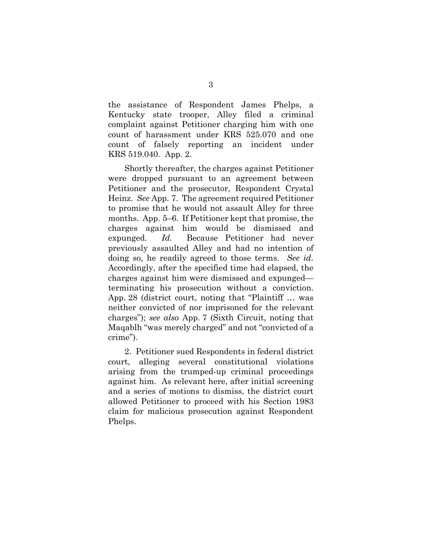the assistance of Respondent James Phelps, a Kentucky state trooper, Alley filed a criminal complaint against Petitioner charging him with one count of harassment under KRS 525.070 and one count of falsely reporting an incident under KRS 519.040. App. 2.

Shortly thereafter, the charges against Petitioner were dropped pursuant to an agreement between Petitioner and the prosecutor, Respondent Crystal Heinz. *See* App. 7. The agreement required Petitioner to promise that he would not assault Alley for three months. App. 5–6. If Petitioner kept that promise, the charges against him would be dismissed and expunged. *Id.* Because Petitioner had never previously assaulted Alley and had no intention of doing so, he readily agreed to those terms. *See id*. Accordingly, after the specified time had elapsed, the charges against him were dismissed and expunged terminating his prosecution without a conviction. App. 28 (district court, noting that "Plaintiff … was neither convicted of nor imprisoned for the relevant charges"); *see also* App. 7 (Sixth Circuit, noting that Maqablh "was merely charged" and not "convicted of a crime").

2. Petitioner sued Respondents in federal district court, alleging several constitutional violations arising from the trumped-up criminal proceedings against him. As relevant here, after initial screening and a series of motions to dismiss, the district court allowed Petitioner to proceed with his Section 1983 claim for malicious prosecution against Respondent Phelps.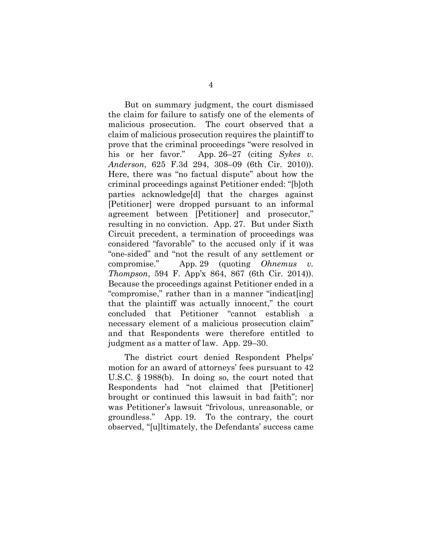But on summary judgment, the court dismissed the claim for failure to satisfy one of the elements of malicious prosecution. The court observed that a claim of malicious prosecution requires the plaintiff to prove that the criminal proceedings "were resolved in his or her favor." App. 26–27 (citing *Sykes v. Anderson*, 625 F.3d 294, 308–09 (6th Cir. 2010)). Here, there was "no factual dispute" about how the criminal proceedings against Petitioner ended: "[b]oth parties acknowledge[d] that the charges against [Petitioner] were dropped pursuant to an informal agreement between [Petitioner] and prosecutor," resulting in no conviction. App. 27. But under Sixth Circuit precedent, a termination of proceedings was considered "favorable" to the accused only if it was "one-sided" and "not the result of any settlement or compromise." App. 29 (quoting *Ohnemus v. Thompson*, 594 F. App'x 864, 867 (6th Cir. 2014)). Because the proceedings against Petitioner ended in a "compromise," rather than in a manner "indicat[ing] that the plaintiff was actually innocent," the court concluded that Petitioner "cannot establish a necessary element of a malicious prosecution claim" and that Respondents were therefore entitled to judgment as a matter of law. App. 29–30.

The district court denied Respondent Phelps' motion for an award of attorneys' fees pursuant to 42 U.S.C. § 1988(b). In doing so, the court noted that Respondents had "not claimed that [Petitioner] brought or continued this lawsuit in bad faith"; nor was Petitioner's lawsuit "frivolous, unreasonable, or groundless." App. 19. To the contrary, the court observed, "[u]ltimately, the Defendants' success came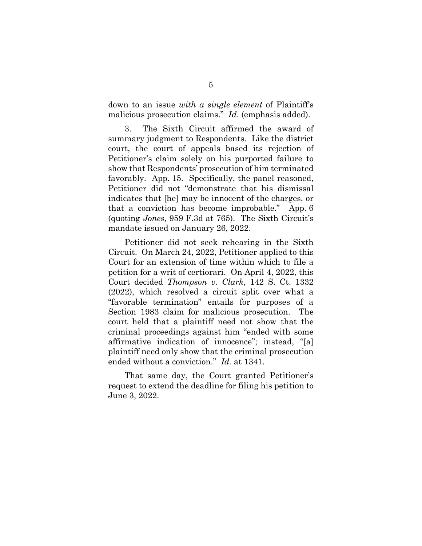down to an issue *with a single element* of Plaintiff's malicious prosecution claims." *Id*. (emphasis added).

3. The Sixth Circuit affirmed the award of summary judgment to Respondents. Like the district court, the court of appeals based its rejection of Petitioner's claim solely on his purported failure to show that Respondents' prosecution of him terminated favorably. App. 15. Specifically, the panel reasoned, Petitioner did not "demonstrate that his dismissal indicates that [he] may be innocent of the charges, or that a conviction has become improbable." App. 6 (quoting *Jones*, 959 F.3d at 765). The Sixth Circuit's mandate issued on January 26, 2022.

Petitioner did not seek rehearing in the Sixth Circuit. On March 24, 2022, Petitioner applied to this Court for an extension of time within which to file a petition for a writ of certiorari. On April 4, 2022, this Court decided *Thompson v. Clark*, 142 S. Ct. 1332 (2022), which resolved a circuit split over what a "favorable termination" entails for purposes of a Section 1983 claim for malicious prosecution. The court held that a plaintiff need not show that the criminal proceedings against him "ended with some affirmative indication of innocence"; instead, "[a] plaintiff need only show that the criminal prosecution ended without a conviction." *Id.* at 1341.

That same day, the Court granted Petitioner's request to extend the deadline for filing his petition to June 3, 2022.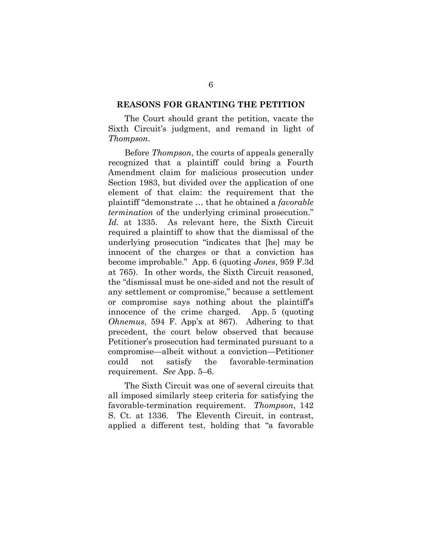#### **REASONS FOR GRANTING THE PETITION**

The Court should grant the petition, vacate the Sixth Circuit's judgment, and remand in light of *Thompson*.

Before *Thompson*, the courts of appeals generally recognized that a plaintiff could bring a Fourth Amendment claim for malicious prosecution under Section 1983, but divided over the application of one element of that claim: the requirement that the plaintiff "demonstrate … that he obtained a *favorable termination* of the underlying criminal prosecution." *Id.* at 1335. As relevant here, the Sixth Circuit required a plaintiff to show that the dismissal of the underlying prosecution "indicates that [he] may be innocent of the charges or that a conviction has become improbable." App. 6 (quoting *Jones*, 959 F.3d at 765). In other words, the Sixth Circuit reasoned, the "dismissal must be one-sided and not the result of any settlement or compromise," because a settlement or compromise says nothing about the plaintiff's innocence of the crime charged. App. 5 (quoting *Ohnemus*, 594 F. App'x at 867). Adhering to that precedent, the court below observed that because Petitioner's prosecution had terminated pursuant to a compromise—albeit without a conviction—Petitioner could not satisfy the favorable-termination requirement. *See* App. 5–6.

The Sixth Circuit was one of several circuits that all imposed similarly steep criteria for satisfying the favorable-termination requirement. *Thompson*, 142 S. Ct. at 1336. The Eleventh Circuit, in contrast, applied a different test, holding that "a favorable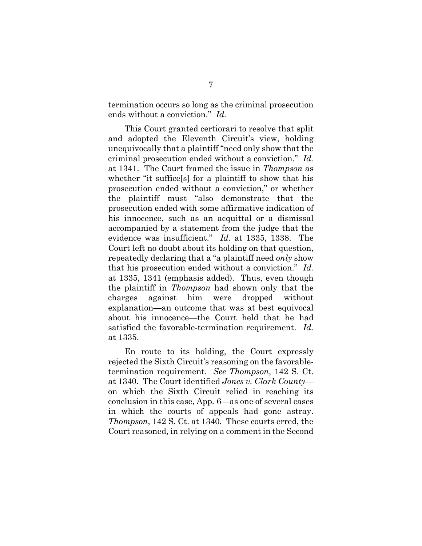termination occurs so long as the criminal prosecution ends without a conviction." *Id.*

This Court granted certiorari to resolve that split and adopted the Eleventh Circuit's view, holding unequivocally that a plaintiff "need only show that the criminal prosecution ended without a conviction." *Id.*  at 1341. The Court framed the issue in *Thompson* as whether "it suffice[s] for a plaintiff to show that his prosecution ended without a conviction," or whether the plaintiff must "also demonstrate that the prosecution ended with some affirmative indication of his innocence, such as an acquittal or a dismissal accompanied by a statement from the judge that the evidence was insufficient." *Id.* at 1335, 1338. The Court left no doubt about its holding on that question, repeatedly declaring that a "a plaintiff need *only* show that his prosecution ended without a conviction." *Id.*  at 1335, 1341 (emphasis added). Thus, even though the plaintiff in *Thompson* had shown only that the charges against him were dropped without explanation—an outcome that was at best equivocal about his innocence—the Court held that he had satisfied the favorable-termination requirement. *Id.* at 1335.

En route to its holding, the Court expressly rejected the Sixth Circuit's reasoning on the favorabletermination requirement. *See Thompson*, 142 S. Ct. at 1340. The Court identified *Jones v. Clark County* on which the Sixth Circuit relied in reaching its conclusion in this case, App. 6—as one of several cases in which the courts of appeals had gone astray. *Thompson*, 142 S. Ct. at 1340*.* These courts erred, the Court reasoned, in relying on a comment in the Second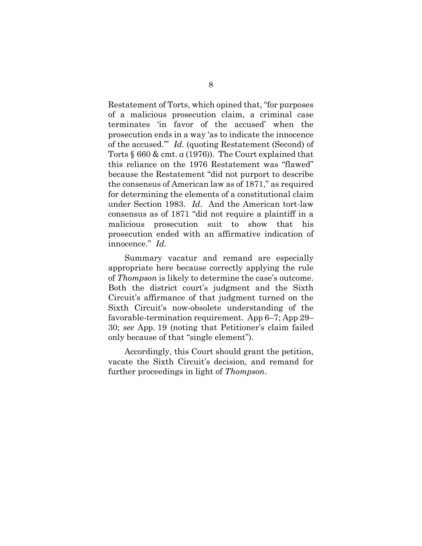Restatement of Torts, which opined that, "for purposes of a malicious prosecution claim, a criminal case terminates 'in favor of the accused' when the prosecution ends in a way 'as to indicate the innocence of the accused.'" *Id.* (quoting Restatement (Second) of Torts § 660 & cmt. *a* (1976)). The Court explained that this reliance on the 1976 Restatement was "flawed" because the Restatement "did not purport to describe the consensus of American law as of 1871," as required for determining the elements of a constitutional claim under Section 1983. *Id*. And the American tort-law consensus as of 1871 "did not require a plaintiff in a malicious prosecution suit to show that his prosecution ended with an affirmative indication of innocence." *Id*.

Summary vacatur and remand are especially appropriate here because correctly applying the rule of *Thompson* is likely to determine the case's outcome. Both the district court's judgment and the Sixth Circuit's affirmance of that judgment turned on the Sixth Circuit's now-obsolete understanding of the favorable-termination requirement. App 6–7; App 29– 30; *see* App. 19 (noting that Petitioner's claim failed only because of that "single element").

Accordingly, this Court should grant the petition, vacate the Sixth Circuit's decision, and remand for further proceedings in light of *Thompson*.